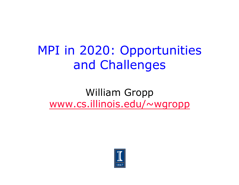#### MPI in 2020: Opportunities and Challenges

#### William Gropp www.cs.illinois.edu/~wgropp

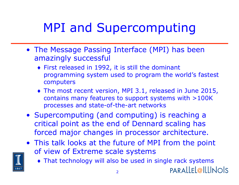# MPI and Supercomputing

- The Message Passing Interface (MPI) has been amazingly successful
	- ♦ First released in 1992, it is still the dominant programming system used to program the world's fastest computers
	- ♦ The most recent version, MPI 3.1, released in June 2015, contains many features to support systems with >100K processes and state-of-the-art networks
- Supercomputing (and computing) is reaching a critical point as the end of Dennard scaling has forced major changes in processor architecture.
- This talk looks at the future of MPI from the point of view of Extreme scale systems
	- ♦ That technology will also be used in single rack systems **PARALLEL@ILLINOIS**

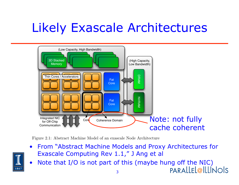## Likely Exascale Architectures



Figure 2.1: Abstract Machine Model of an exascale Node Architecture

- From "Abstract Machine Models and Proxy Architectures for **Exascale Computing Rev 1.1," J Ang et all is all Abstract Machine Machine Machine Model Machine Machine Machine Machine Machine Machine Machine Machine Machine Machine Machine Machine Machine Machine Machine Machine Mach**
- $\| \cdot \|$  Note that I/O is not part of this (maybe hung off the NIC) parallel@IllINOIS

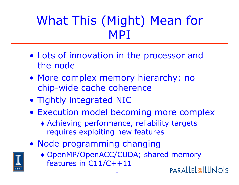## What This (Might) Mean for MPI

- Lots of innovation in the processor and the node
- More complex memory hierarchy; no chip-wide cache coherence
- Tightly integrated NIC
- Execution model becoming more complex
	- ♦ Achieving performance, reliability targets requires exploiting new features
- Node programming changing
	- ♦ OpenMP/OpenACC/CUDA; shared memory features in C11/C++11 PARALLEL@ILLINOIS

4

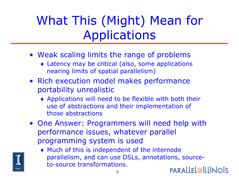# What This (Might) Mean for Applications

- Weak scaling limits the range of problems
	- ♦ Latency may be critical (also, some applications nearing limits of spatial parallelism)
- Rich execution model makes performance portability unrealistic
	- ♦ Applications will need to be flexible with both their use of abstractions and their implementation of those abstractions
- One Answer: Programmers will need help with performance issues, whatever parallel programming system is used

5

♦ Much of this is independent of the internode parallelism, and can use DSLs, annotations, sourceto-source transformations. PARALLEL@ILLINOIS

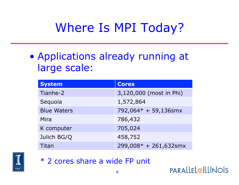## Where Is MPI Today?

• Applications already running at large scale:

| <b>System</b>      | <b>Cores</b>            |
|--------------------|-------------------------|
| Tianhe-2           | 3,120,000 (most in Phi) |
| Sequoia            | 1,572,864               |
| <b>Blue Waters</b> | 792,064* + 59,136smx    |
| Mira               | 786,432                 |
| K computer         | 705,024                 |
| Julich BG/Q        | 458,752                 |
| Titan              | 299,008* + 261,632smx   |



\* 2 cores share a wide FP unit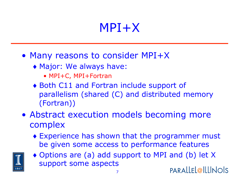#### MPI+X

- Many reasons to consider MPI+X
	- ♦ Major: We always have:
		- MPI+C, MPI+Fortran
	- ♦ Both C11 and Fortran include support of parallelism (shared (C) and distributed memory (Fortran))
- Abstract execution models becoming more complex
	- ♦ Experience has shown that the programmer must be given some access to performance features



♦ Options are (a) add support to MPI and (b) let X support some aspects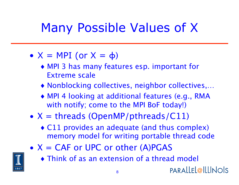## Many Possible Values of X

- $X = MPI$  (or  $X = \phi$ )
	- ♦ MPI 3 has many features esp. important for Extreme scale
	- ♦ Nonblocking collectives, neighbor collectives,…
	- ♦ MPI 4 looking at additional features (e.g., RMA with notify; come to the MPI BoF today!)
- $X =$  threads (OpenMP/pthreads/C11)
	- ♦ C11 provides an adequate (and thus complex) memory model for writing portable thread code
- $X = CAF$  or UPC or other  $(A)PGAS$



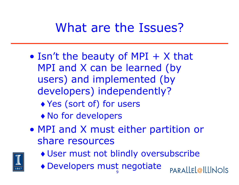## What are the Issues?

- Isn't the beauty of MPI  $+$  X that MPI and X can be learned (by users) and implemented (by developers) independently?
	- ♦ Yes (sort of) for users
	- ♦ No for developers
- MPI and X must either partition or share resources



- ♦ User must not blindly oversubscribe
- 9 ♦ Developers must negotiate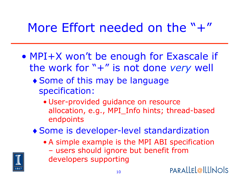## More Effort needed on the  $" +"$

- MPI+X won't be enough for Exascale if the work for "+" is not done *very* well
	- ♦ Some of this may be language specification:
		- User-provided guidance on resource allocation, e.g., MPI\_Info hints; thread-based endpoints
	- ♦ Some is developer-level standardization
		- A simple example is the MPI ABI specification – users should ignore but benefit from developers supporting

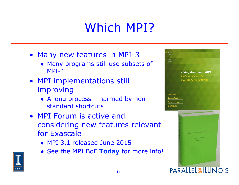## Which MPI?

- Many new features in MPI-3
	- ♦ Many programs still use subsets of MPI-1
- MPI implementations still improving
	- ♦ A long process harmed by nonstandard shortcuts
- MPI Forum is active and considering new features relevant for Exascale
	- ♦ MPI 3.1 released June 2015
	- ♦ See the MPI BoF **Today** for more info!



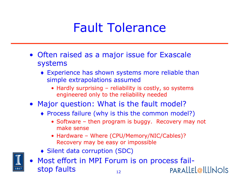## Fault Tolerance

- Often raised as a major issue for Exascale systems
	- ♦ Experience has shown systems more reliable than simple extrapolations assumed
		- Hardly surprising reliability is costly, so systems engineered only to the reliability needed
- Major question: What is the fault model?
	- ♦ Process failure (why is this the common model?)
		- Software then program is buggy. Recovery may not make sense
		- Hardware Where (CPU/Memory/NIC/Cables)? Recovery may be easy or impossible
	- ♦ Silent data corruption (SDC)



• Most effort in MPI Forum is on process failstop faults PARALLEL@ILLINOIS 12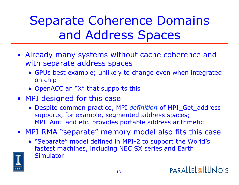# Separate Coherence Domains and Address Spaces

- Already many systems without cache coherence and with separate address spaces
	- ♦ GPUs best example; unlikely to change even when integrated on chip
	- ♦ OpenACC an "X" that supports this
- MPI designed for this case
	- ♦ Despite common practice, MPI *definition* of MPI\_Get\_address supports, for example, segmented address spaces; MPI\_Aint\_add etc. provides portable address arithmetic
- MPI RMA "separate" memory model also fits this case
	- ♦ "Separate" model defined in MPI-2 to support the World's fastest machines, including NEC SX series and Earth **Simulator**

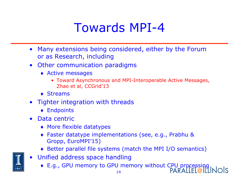#### Towards MPI-4

- Many extensions being considered, either by the Forum or as Research, including
- Other communication paradigms
	- ♦ Active messages
		- Toward Asynchronous and MPI-Interoperable Active Messages, Zhao et al, CCGrid'13
	- $\triangle$  Streams
- Tighter integration with threads
	- ♦ Endpoints
- Data centric
	- ♦ More flexible datatypes
	- ♦ Faster datatype implementations (see, e.g., Prabhu & Gropp, EuroMPI'15)
	- ♦ Better parallel file systems (match the MPI I/O semantics)
- Unified address space handling
	- ◆ E.g., GPU memory to GPU memory without CPU processing

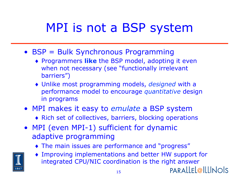## MPI is not a BSP system

- BSP = Bulk Synchronous Programming
	- ♦ Programmers **like** the BSP model, adopting it even when not necessary (see "functionally irrelevant barriers")
	- ♦ Unlike most programming models, *designed* with a performance model to encourage *quantitative* design in programs
- MPI makes it easy to *emulate* a BSP system
	- ♦ Rich set of collectives, barriers, blocking operations
- MPI (even MPI-1) sufficient for dynamic adaptive programming
	- ♦ The main issues are performance and "progress"
	- Improving implementations and better HW support for integrated CPU/NIC coordination is the right answer

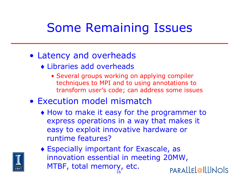## Some Remaining Issues

#### • Latency and overheads

- ♦ Libraries add overheads
	- Several groups working on applying compiler techniques to MPI and to using annotations to transform user's code; can address some issues
- Execution model mismatch
	- ♦ How to make it easy for the programmer to express operations in a way that makes it easy to exploit innovative hardware or runtime features?



♦ Especially important for Exascale, as innovation essential in meeting 20MW, MTBF, total memory, etc.PARALLEL@ILLINOIS 16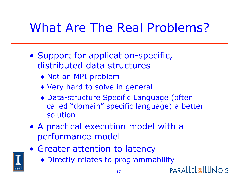## What Are The Real Problems?

- Support for application-specific, distributed data structures
	- ♦ Not an MPI problem
	- ♦ Very hard to solve in general
	- ♦ Data-structure Specific Language (often called "domain" specific language) a better solution
- A practical execution model with a performance model
- Greater attention to latency
	- ♦ Directly relates to programmability